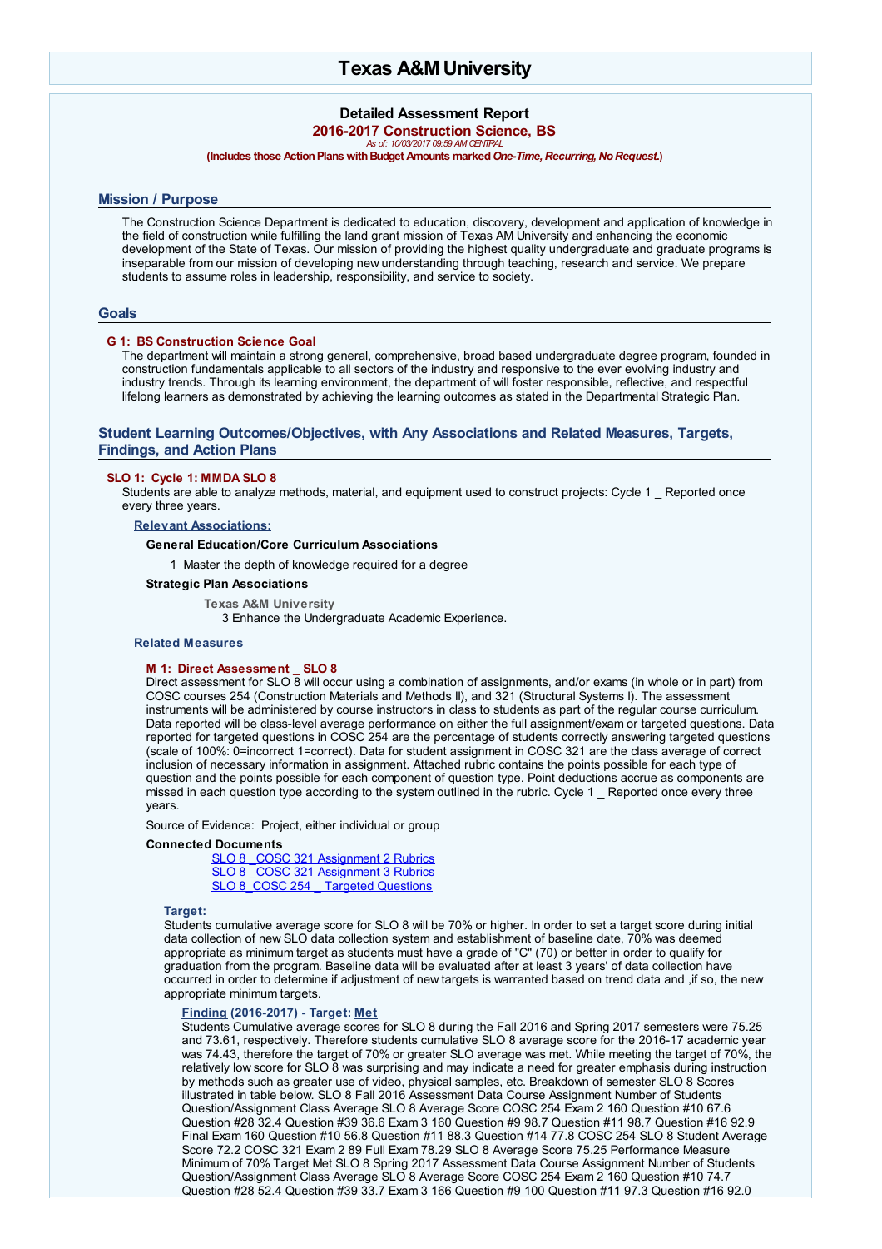# **Texas A&MUniversity**

# **Detailed Assessment Report 2016-2017 Construction Science, BS** *As of: 10/03/2017 09:59 AM CENTRAL*

# **(Includes those Action Plans with Budget Amounts marked One-Time, Recurring, No Request.)**

# **Mission / Purpose**

The Construction Science Department is dedicated to education, discovery, development and application of knowledge in the field of construction while fulfilling the land grant mission of Texas AM University and enhancing the economic development of the State of Texas. Our mission of providing the highest quality undergraduate and graduate programs is inseparable from our mission of developing new understanding through teaching, research and service. We prepare students to assume roles in leadership, responsibility, and service to society.

# **Goals**

# **G 1: BS Construction Science Goal**

The department will maintain a strong general, comprehensive, broad based undergraduate degree program, founded in construction fundamentals applicable to all sectors of the industry and responsive to the ever evolving industry and industry trends. Through its learning environment, the department of will foster responsible, reflective, and respectful lifelong learners as demonstrated by achieving the learning outcomes as stated in the Departmental Strategic Plan.

# **Student Learning Outcomes/Objectives, with Any Associations and Related Measures, Targets, Findings, and Action Plans**

# **SLO 1: Cycle 1: MMDA SLO 8**

Students are able to analyze methods, material, and equipment used to construct projects: Cycle 1 Reported once every three years.

**Relevant Associations:**

# **General Education/Core Curriculum Associations**

1 Master the depth of knowledge required for a degree

# **Strategic Plan Associations**

**Texas A&M University** 3 Enhance the Undergraduate Academic Experience.

# **Related Measures**

### **M 1: Direct Assessment \_ SLO 8**

Direct assessment for SLO 8 will occur using a combination of assignments, and/or exams (in whole or in part) from COSC courses 254 (Construction Materials and Methods II), and 321 (Structural Systems I). The assessment instruments will be administered by course instructors in class to students as part of the regular course curriculum. Data reported will be class-level average performance on either the full assignment/exam or targeted questions. Data reported for targeted questions in COSC 254 are the percentage of students correctly answering targeted questions (scale of 100%: 0=incorrect 1=correct). Data for student assignment in COSC 321 are the class average of correct inclusion of necessary information in assignment. Attached rubric contains the points possible for each type of question and the points possible for each component of question type. Point deductions accrue as components are missed in each question type according to the system outlined in the rubric. Cycle 1 \_ Reported once every three years.

Source of Evidence: Project, either individual or group

### **Connected Documents**

SLO 8 COSC 321 [Assignment](javascript:__doPostBack() 2 Rubrics SLO 8 COSC 321 [Assignment](javascript:__doPostBack() 3 Rubrics SLO 8 COSC 254 Targeted [Questions](javascript:__doPostBack()

**Target:**

Students cumulative average score for SLO 8 will be 70% or higher. In order to set a target score during initial data collection of new SLO data collection system and establishment of baseline date, 70% was deemed appropriate as minimum target as students must have a grade of "C" (70) or better in order to qualify for graduation from the program. Baseline data will be evaluated after at least 3 years' of data collection have occurred in order to determine if adjustment of new targets is warranted based on trend data and ,if so, the new appropriate minimum targets.

# **Finding (2016-2017) - Target: Met**

Students Cumulative average scores for SLO 8 during the Fall 2016 and Spring 2017 semesters were 75.25 and 73.61, respectively. Therefore students cumulative SLO 8 average score for the 2016-17 academic year was 74.43, therefore the target of 70% or greater SLO average was met. While meeting the target of 70%, the relatively low score for SLO 8 was surprising and may indicate a need for greater emphasis during instruction by methods such as greater use of video, physical samples, etc. Breakdown of semester SLO 8 Scores illustrated in table below. SLO 8 Fall 2016 Assessment Data Course Assignment Number of Students Question/Assignment Class Average SLO 8 Average Score COSC 254 Exam 2 160 Question #10 67.6 Question #28 32.4 Question #39 36.6 Exam 3 160 Question #9 98.7 Question #11 98.7 Question #16 92.9 Final Exam 160 Question #10 56.8 Question #11 88.3 Question #14 77.8 COSC 254 SLO 8 Student Average Score 72.2 COSC 321 Exam 2 89 Full Exam 78.29 SLO 8 Average Score 75.25 Performance Measure Minimum of 70% Target Met SLO 8 Spring 2017 Assessment Data Course Assignment Number of Students Question/Assignment Class Average SLO 8 Average Score COSC 254 Exam 2 160 Question #10 74.7 Question #28 52.4 Question #39 33.7 Exam 3 166 Question #9 100 Question #11 97.3 Question #16 92.0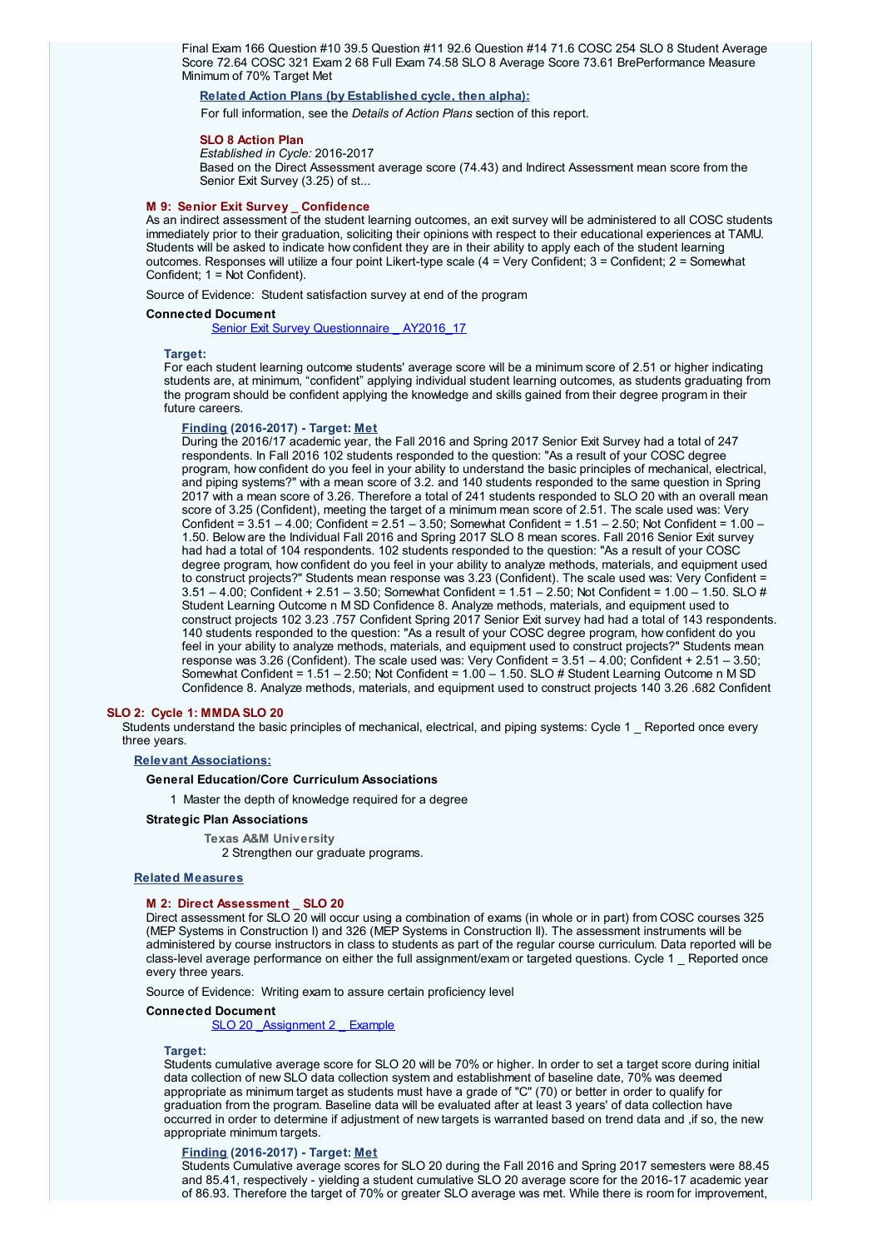Final Exam 166 Question #10 39.5 Question #11 92.6 Question #14 71.6 COSC 254 SLO 8 Student Average Score 72.64 COSC 321 Exam 2 68 Full Exam 74.58 SLO 8 Average Score 73.61 BrePerformance Measure Minimum of 70% Target Met

# **Related Action Plans (by Established cycle, then alpha):**

For full information, see the *Details of Action Plans* section of this report.

### **SLO 8 Action Plan**

*Established in Cycle:* 2016-2017

Based on the Direct Assessment average score (74.43) and Indirect Assessment mean score from the Senior Exit Survey (3.25) of st...

### **M 9: Senior Exit Survey \_ Confidence**

As an indirect assessment of the student learning outcomes, an exit survey will be administered to all COSC students immediately prior to their graduation, soliciting their opinions with respect to their educational experiences at TAMU. Students will be asked to indicate how confident they are in their ability to apply each of the student learning outcomes. Responses will utilize a four point Likert-type scale (4 = Very Confident; 3 = Confident; 2 = Somewhat Confident; 1 = Not Confident).

Source of Evidence: Student satisfaction survey at end of the program

### **Connected Document**

Senior Exit Survey [Questionnaire](javascript:__doPostBack() AY2016 17

### **Target:**

For each student learning outcome students' average score will be a minimum score of 2.51 or higher indicating students are, at minimum, "confident" applying individual student learning outcomes, as students graduating from the program should be confident applying the knowledge and skills gained from their degree program in their future careers.

### **Finding (2016-2017) - Target: Met**

During the 2016/17 academic year, the Fall 2016 and Spring 2017 Senior Exit Survey had a total of 247 respondents. In Fall 2016 102 students responded to the question: "As a result of your COSC degree program, how confident do you feel in your ability to understand the basic principles of mechanical, electrical, and piping systems?" with a mean score of 3.2. and 140 students responded to the same question in Spring 2017 with a mean score of 3.26. Therefore a total of 241 students responded to SLO 20 with an overall mean score of 3.25 (Confident), meeting the target of a minimum mean score of 2.51. The scale used was: Very Confident = 3.51 – 4.00; Confident = 2.51 – 3.50; Somewhat Confident = 1.51 – 2.50; Not Confident = 1.00 – 1.50. Below are the Individual Fall 2016 and Spring 2017 SLO 8 mean scores. Fall 2016 Senior Exit survey had had a total of 104 respondents. 102 students responded to the question: "As a result of your COSC degree program, how confident do you feel in your ability to analyze methods, materials, and equipment used to construct projects?" Students mean response was 3.23 (Confident). The scale used was: Very Confident = 3.51 – 4.00; Confident + 2.51 – 3.50; Somewhat Confident = 1.51 – 2.50; Not Confident = 1.00 – 1.50. SLO # Student Learning Outcome n M SD Confidence 8. Analyze methods, materials, and equipment used to construct projects 102 3.23 .757 Confident Spring 2017 Senior Exit survey had had a total of 143 respondents. 140 students responded to the question: "As a result of your COSC degree program, how confident do you feel in your ability to analyze methods, materials, and equipment used to construct projects?" Students mean response was 3.26 (Confident). The scale used was: Very Confident = 3.51 – 4.00; Confident + 2.51 – 3.50; Somewhat Confident = 1.51 – 2.50; Not Confident = 1.00 – 1.50. SLO # Student Learning Outcome n M SD Confidence 8. Analyze methods, materials, and equipment used to construct projects 140 3.26 .682 Confident

### **SLO 2: Cycle 1: MMDA SLO 20**

Students understand the basic principles of mechanical, electrical, and piping systems: Cycle 1 \_ Reported once every three years.

# **Relevant Associations:**

# **General Education/Core Curriculum Associations**

1 Master the depth of knowledge required for a degree

### **Strategic Plan Associations**

**Texas A&M University** 2 Strengthen our graduate programs.

### **Related Measures**

# **M 2: Direct Assessment \_ SLO 20**

Direct assessment for SLO 20 will occur using a combination of exams (in whole or in part) from COSC courses 325 (MEP Systems in Construction I) and 326 (MEP Systems in Construction II). The assessment instruments will be administered by course instructors in class to students as part of the regular course curriculum. Data reported will be class-level average performance on either the full assignment/exam or targeted questions. Cycle 1 \_ Reported once every three years.

Source of Evidence: Writing exam to assure certain proficiency level

### **Connected Document**

SLO 20 Assignment 2 Example

### **Target:**

Students cumulative average score for SLO 20 will be 70% or higher. In order to set a target score during initial data collection of new SLO data collection system and establishment of baseline date, 70% was deemed appropriate as minimum target as students must have a grade of "C" (70) or better in order to qualify for graduation from the program. Baseline data will be evaluated after at least 3 years' of data collection have occurred in order to determine if adjustment of new targets is warranted based on trend data and ,if so, the new appropriate minimum targets.

### **Finding (2016-2017) - Target: Met**

Students Cumulative average scores for SLO 20 during the Fall 2016 and Spring 2017 semesters were 88.45 and 85.41, respectively - yielding a student cumulative SLO 20 average score for the 2016-17 academic year of 86.93. Therefore the target of 70% or greater SLO average was met. While there is room for improvement,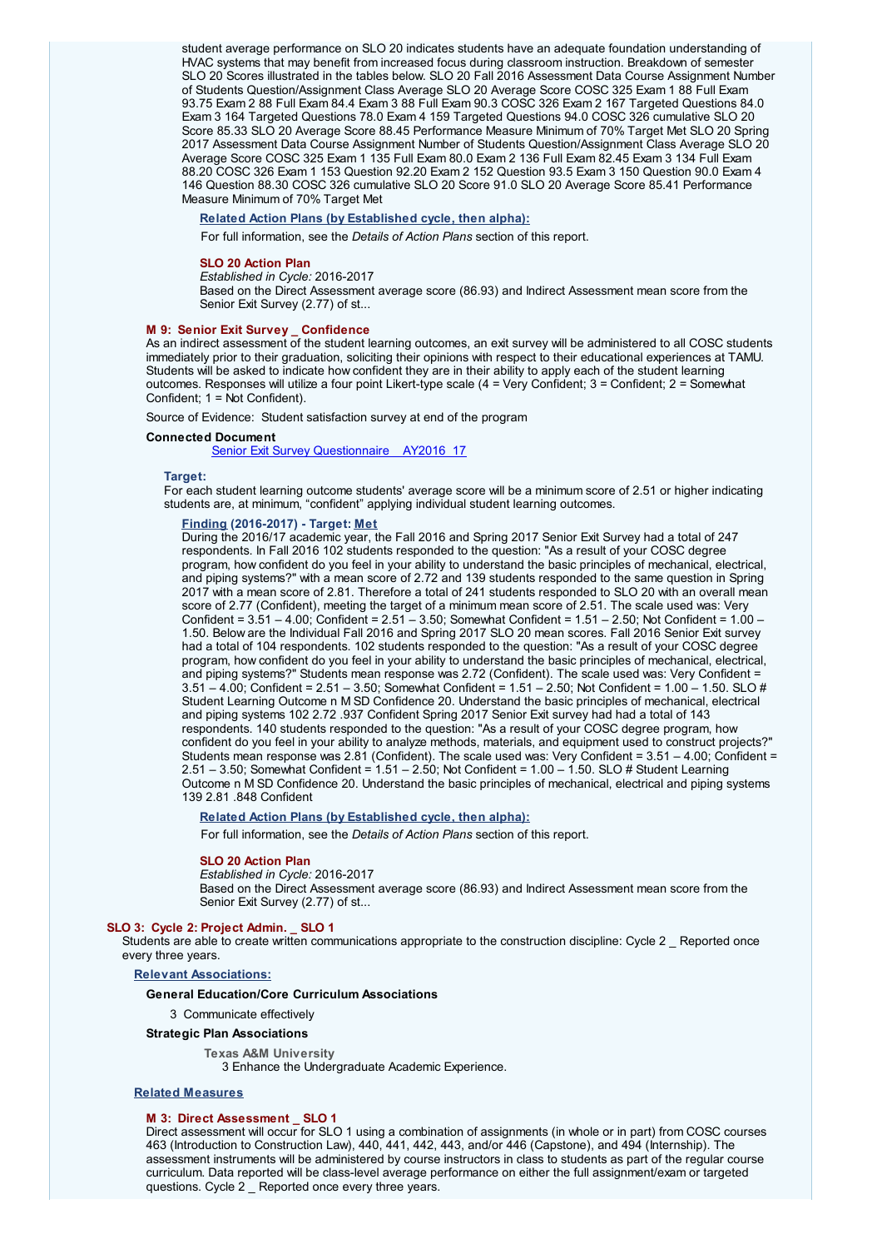student average performance on SLO 20 indicates students have an adequate foundation understanding of HVAC systems that may benefit from increased focus during classroom instruction. Breakdown of semester SLO 20 Scores illustrated in the tables below. SLO 20 Fall 2016 Assessment Data Course Assignment Number of Students Question/Assignment Class Average SLO 20 Average Score COSC 325 Exam 1 88 Full Exam 93.75 Exam 2 88 Full Exam 84.4 Exam 3 88 Full Exam 90.3 COSC 326 Exam 2 167 Targeted Questions 84.0 Exam 3 164 Targeted Questions 78.0 Exam 4 159 Targeted Questions 94.0 COSC 326 cumulative SLO 20 Score 85.33 SLO 20 Average Score 88.45 Performance Measure Minimum of 70% Target Met SLO 20 Spring 2017 Assessment Data Course Assignment Number of Students Question/Assignment Class Average SLO 20 Average Score COSC 325 Exam 1 135 Full Exam 80.0 Exam 2 136 Full Exam 82.45 Exam 3 134 Full Exam 88.20 COSC 326 Exam 1 153 Question 92.20 Exam 2 152 Question 93.5 Exam 3 150 Question 90.0 Exam 4 146 Question 88.30 COSC 326 cumulative SLO 20 Score 91.0 SLO 20 Average Score 85.41 Performance Measure Minimum of 70% Target Met

# **Related Action Plans (by Established cycle, then alpha):**

For full information, see the *Details of Action Plans* section of this report.

### **SLO 20 Action Plan**

*Established in Cycle:* 2016-2017

Based on the Direct Assessment average score (86.93) and Indirect Assessment mean score from the Senior Exit Survey (2.77) of st...

### **M 9: Senior Exit Survey \_ Confidence**

As an indirect assessment of the student learning outcomes, an exit survey will be administered to all COSC students immediately prior to their graduation, soliciting their opinions with respect to their educational experiences at TAMU. Students will be asked to indicate how confident they are in their ability to apply each of the student learning outcomes. Responses will utilize a four point Likert-type scale (4 = Very Confident; 3 = Confident; 2 = Somewhat Confident; 1 = Not Confident).

Source of Evidence: Student satisfaction survey at end of the program

### **Connected Document**

Senior Exit Survey [Questionnaire](javascript:__doPostBack() AY2016\_17

### **Target:**

For each student learning outcome students' average score will be a minimum score of 2.51 or higher indicating students are, at minimum, "confident" applying individual student learning outcomes.

# **Finding (2016-2017) - Target: Met**

During the 2016/17 academic year, the Fall 2016 and Spring 2017 Senior Exit Survey had a total of 247 respondents. In Fall 2016 102 students responded to the question: "As a result of your COSC degree program, how confident do you feel in your ability to understand the basic principles of mechanical, electrical, and piping systems?" with a mean score of 2.72 and 139 students responded to the same question in Spring 2017 with a mean score of 2.81. Therefore a total of 241 students responded to SLO 20 with an overall mean score of 2.77 (Confident), meeting the target of a minimum mean score of 2.51. The scale used was: Very Confident = 3.51 – 4.00; Confident = 2.51 – 3.50; Somewhat Confident = 1.51 – 2.50; Not Confident = 1.00 – 1.50. Below are the Individual Fall 2016 and Spring 2017 SLO 20 mean scores. Fall 2016 Senior Exit survey had a total of 104 respondents. 102 students responded to the question: "As a result of your COSC degree program, how confident do you feel in your ability to understand the basic principles of mechanical, electrical, and piping systems?" Students mean response was 2.72 (Confident). The scale used was: Very Confident = 3.51 – 4.00; Confident = 2.51 – 3.50; Somewhat Confident = 1.51 – 2.50; Not Confident = 1.00 – 1.50. SLO # Student Learning Outcome n M SD Confidence 20. Understand the basic principles of mechanical, electrical and piping systems 102 2.72 .937 Confident Spring 2017 Senior Exit survey had had a total of 143 respondents. 140 students responded to the question: "As a result of your COSC degree program, how confident do you feel in your ability to analyze methods, materials, and equipment used to construct projects?" Students mean response was 2.81 (Confident). The scale used was: Very Confident = 3.51 – 4.00; Confident = 2.51 – 3.50; Somewhat Confident = 1.51 – 2.50; Not Confident = 1.00 – 1.50. SLO # Student Learning Outcome n M SD Confidence 20. Understand the basic principles of mechanical, electrical and piping systems 139 2.81 .848 Confident

# **Related Action Plans (by Established cycle, then alpha):**

For full information, see the *Details of Action Plans* section of this report.

### **SLO 20 Action Plan**

### *Established in Cycle:* 2016-2017

Based on the Direct Assessment average score (86.93) and Indirect Assessment mean score from the Senior Exit Survey (2.77) of st...

### **SLO 3: Cycle 2: Project Admin. \_ SLO 1**

Students are able to create written communications appropriate to the construction discipline: Cycle 2 \_ Reported once every three years.

### **Relevant Associations:**

### **General Education/Core Curriculum Associations**

3 Communicate effectively

# **Strategic Plan Associations**

### **Texas A&M University**

3 Enhance the Undergraduate Academic Experience.

### **Related Measures**

### **M 3: Direct Assessment \_ SLO 1**

Direct assessment will occur for SLO 1 using a combination of assignments (in whole or in part) from COSC courses 463 (Introduction to Construction Law), 440, 441, 442, 443, and/or 446 (Capstone), and 494 (Internship). The assessment instruments will be administered by course instructors in class to students as part of the regular course curriculum. Data reported will be class-level average performance on either the full assignment/exam or targeted questions. Cycle 2 \_ Reported once every three years.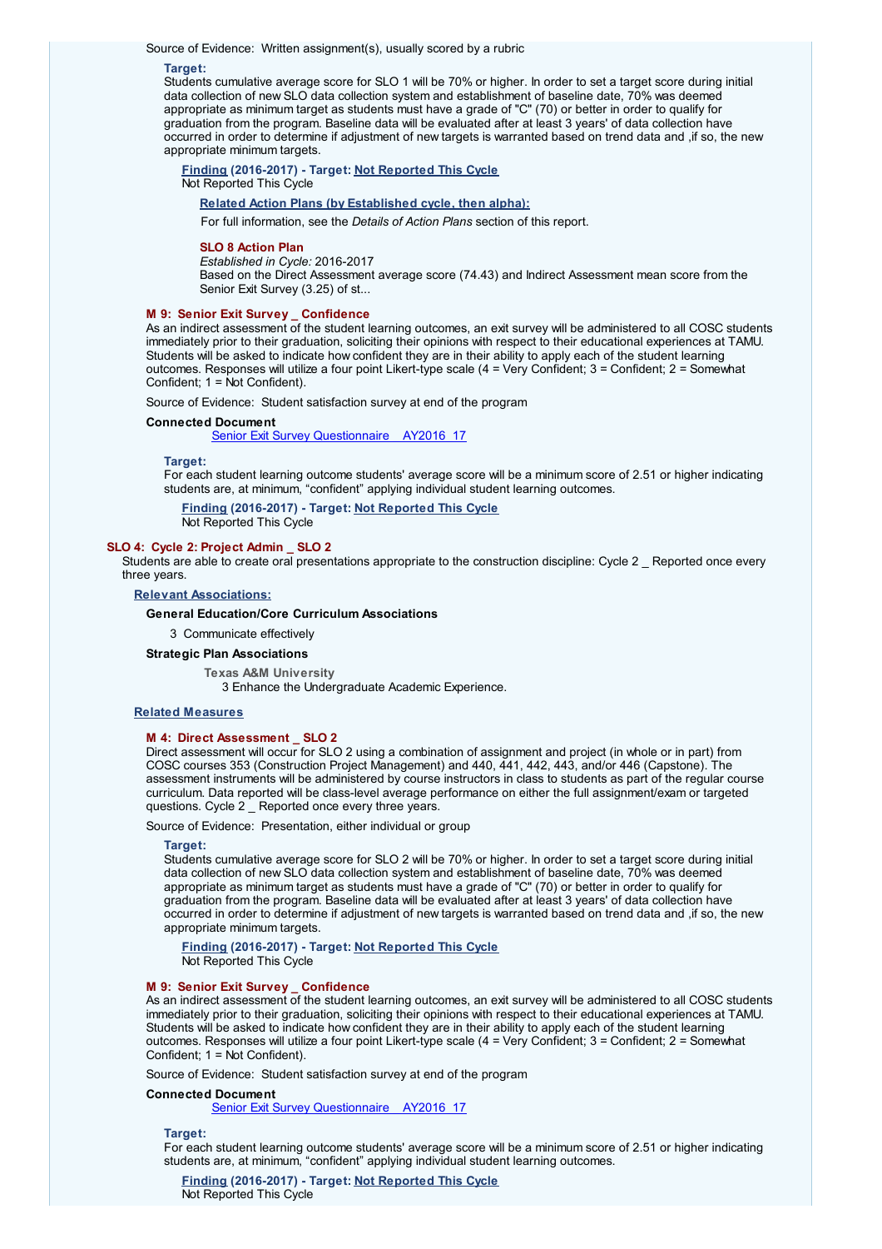Source of Evidence: Written assignment(s), usually scored by a rubric

### **Target:**

Students cumulative average score for SLO 1 will be 70% or higher. In order to set a target score during initial data collection of new SLO data collection system and establishment of baseline date, 70% was deemed appropriate as minimum target as students must have a grade of "C" (70) or better in order to qualify for graduation from the program. Baseline data will be evaluated after at least 3 years' of data collection have occurred in order to determine if adjustment of new targets is warranted based on trend data and ,if so, the new appropriate minimum targets.

**Finding (2016-2017) - Target: Not Reported This Cycle** Not Reported This Cycle

### **Related Action Plans (by Established cycle, then alpha):**

For full information, see the *Details of Action Plans* section of this report.

### **SLO 8 Action Plan**

*Established in Cycle:* 2016-2017

Based on the Direct Assessment average score (74.43) and Indirect Assessment mean score from the Senior Exit Survey (3.25) of st...

### **M 9: Senior Exit Survey \_ Confidence**

As an indirect assessment of the student learning outcomes, an exit survey will be administered to all COSC students immediately prior to their graduation, soliciting their opinions with respect to their educational experiences at TAMU. Students will be asked to indicate how confident they are in their ability to apply each of the student learning outcomes. Responses will utilize a four point Likert-type scale (4 = Very Confident; 3 = Confident; 2 = Somewhat Confident; 1 = Not Confident).

Source of Evidence: Student satisfaction survey at end of the program

### **Connected Document**

Senior Exit Survey [Questionnaire](javascript:__doPostBack() AY2016 17

### **Target:**

For each student learning outcome students' average score will be a minimum score of 2.51 or higher indicating students are, at minimum, "confident" applying individual student learning outcomes.

**Finding (2016-2017) - Target: Not Reported This Cycle**

Not Reported This Cycle

# **SLO 4: Cycle 2: Project Admin \_ SLO 2**

Students are able to create oral presentations appropriate to the construction discipline: Cycle 2 Reported once every three years.

**Relevant Associations:**

# **General Education/Core Curriculum Associations**

3 Communicate effectively

### **Strategic Plan Associations**

**Texas A&M University** 3 Enhance the Undergraduate Academic Experience.

### **Related Measures**

# **M 4: Direct Assessment \_ SLO 2**

Direct assessment will occur for SLO 2 using a combination of assignment and project (in whole or in part) from COSC courses 353 (Construction Project Management) and 440, 441, 442, 443, and/or 446 (Capstone). The assessment instruments will be administered by course instructors in class to students as part of the regular course curriculum. Data reported will be class-level average performance on either the full assignment/exam or targeted questions. Cycle 2 Reported once every three years.

### Source of Evidence: Presentation, either individual or group

### **Target:**

Students cumulative average score for SLO 2 will be 70% or higher. In order to set a target score during initial data collection of new SLO data collection system and establishment of baseline date, 70% was deemed appropriate as minimum target as students must have a grade of "C" (70) or better in order to qualify for graduation from the program. Baseline data will be evaluated after at least 3 years' of data collection have occurred in order to determine if adjustment of new targets is warranted based on trend data and ,if so, the new appropriate minimum targets.

**Finding (2016-2017) - Target: Not Reported This Cycle** Not Reported This Cycle

### **M 9: Senior Exit Survey \_ Confidence**

As an indirect assessment of the student learning outcomes, an exit survey will be administered to all COSC students immediately prior to their graduation, soliciting their opinions with respect to their educational experiences at TAMU. Students will be asked to indicate how confident they are in their ability to apply each of the student learning outcomes. Responses will utilize a four point Likert-type scale (4 = Very Confident; 3 = Confident; 2 = Somewhat Confident; 1 = Not Confident).

Source of Evidence: Student satisfaction survey at end of the program

# **Connected Document**

Senior Exit Survey [Questionnaire](javascript:__doPostBack() AY2016\_17

### **Target:**

For each student learning outcome students' average score will be a minimum score of 2.51 or higher indicating students are, at minimum, "confident" applying individual student learning outcomes.

**Finding (2016-2017) - Target: Not Reported This Cycle** Not Reported This Cycle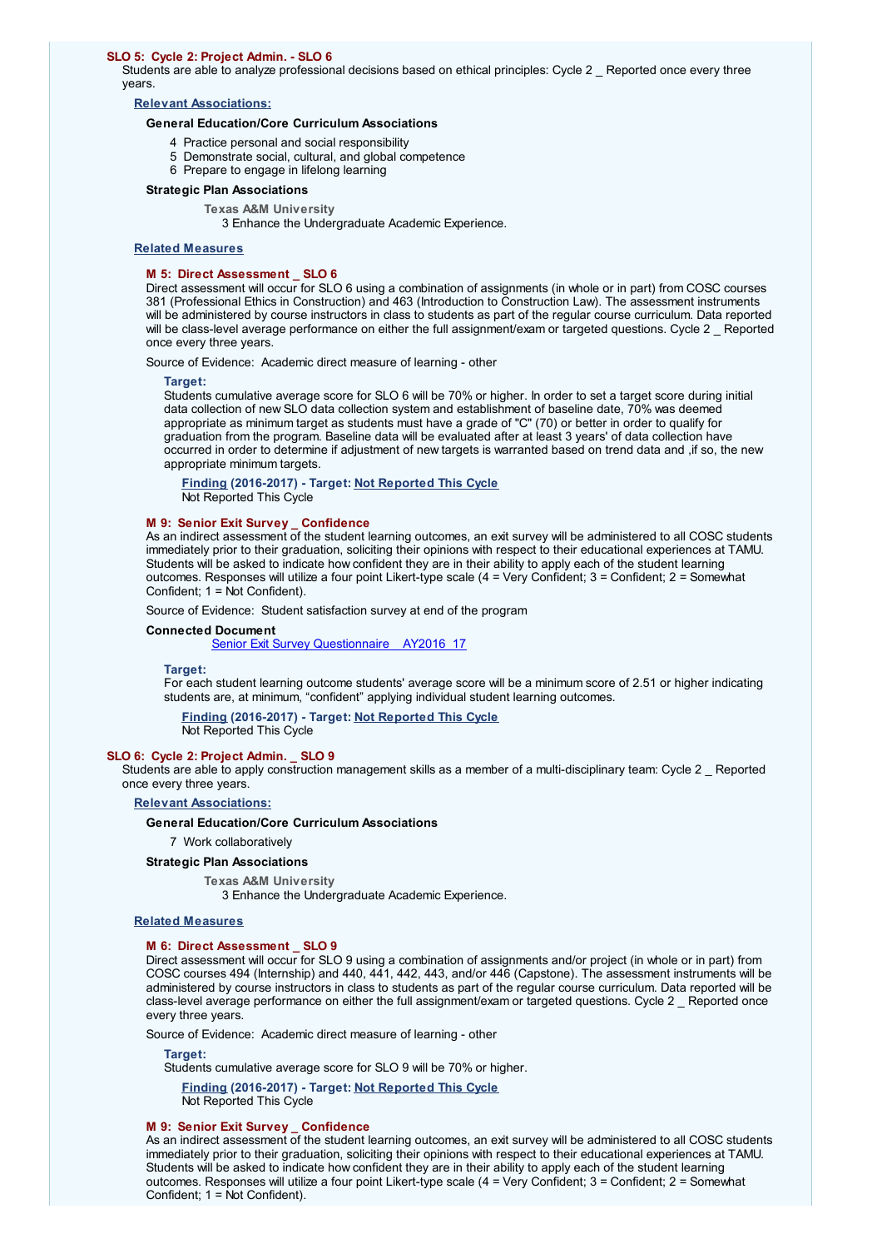### **SLO 5: Cycle 2: Project Admin. - SLO 6**

Students are able to analyze professional decisions based on ethical principles: Cycle 2 \_ Reported once every three years.

# **Relevant Associations:**

# **General Education/Core Curriculum Associations**

- 4 Practice personal and social responsibility
- 5 Demonstrate social, cultural, and global competence
- 6 Prepare to engage in lifelong learning

# **Strategic Plan Associations**

**Texas A&M University** 3 Enhance the Undergraduate Academic Experience.

### **Related Measures**

### **M 5: Direct Assessment \_ SLO 6**

Direct assessment will occur for SLO 6 using a combination of assignments (in whole or in part) from COSC courses 381 (Professional Ethics in Construction) and 463 (Introduction to Construction Law). The assessment instruments will be administered by course instructors in class to students as part of the regular course curriculum. Data reported will be class-level average performance on either the full assignment/exam or targeted questions. Cycle 2 \_ Reported once every three years.

Source of Evidence: Academic direct measure of learning - other

### **Target:**

Students cumulative average score for SLO 6 will be 70% or higher. In order to set a target score during initial data collection of new SLO data collection system and establishment of baseline date, 70% was deemed appropriate as minimum target as students must have a grade of "C" (70) or better in order to qualify for graduation from the program. Baseline data will be evaluated after at least 3 years' of data collection have occurred in order to determine if adjustment of new targets is warranted based on trend data and ,if so, the new appropriate minimum targets.

**Finding (2016-2017) - Target: Not Reported This Cycle** Not Reported This Cycle

### **M 9: Senior Exit Survey \_ Confidence**

As an indirect assessment of the student learning outcomes, an exit survey will be administered to all COSC students immediately prior to their graduation, soliciting their opinions with respect to their educational experiences at TAMU. Students will be asked to indicate how confident they are in their ability to apply each of the student learning outcomes. Responses will utilize a four point Likert-type scale (4 = Very Confident; 3 = Confident; 2 = Somewhat Confident; 1 = Not Confident).

Source of Evidence: Student satisfaction survey at end of the program

### **Connected Document**

Senior Exit Survey [Questionnaire](javascript:__doPostBack() AY2016\_17

### **Target:**

For each student learning outcome students' average score will be a minimum score of 2.51 or higher indicating students are, at minimum, "confident" applying individual student learning outcomes.

**Finding (2016-2017) - Target: Not Reported This Cycle**

Not Reported This Cycle

### **SLO 6: Cycle 2: Project Admin. \_ SLO 9**

Students are able to apply construction management skills as a member of a multi-disciplinary team: Cycle 2 \_ Reported once every three years.

# **Relevant Associations:**

### **General Education/Core Curriculum Associations**

7 Work collaboratively

### **Strategic Plan Associations**

**Texas A&M University**

3 Enhance the Undergraduate Academic Experience.

# **Related Measures**

# **M 6: Direct Assessment \_ SLO 9**

Direct assessment will occur for SLO 9 using a combination of assignments and/or project (in whole or in part) from COSC courses 494 (Internship) and 440, 441, 442, 443, and/or 446 (Capstone). The assessment instruments will be administered by course instructors in class to students as part of the regular course curriculum. Data reported will be class-level average performance on either the full assignment/exam or targeted questions. Cycle 2 \_ Reported once every three years.

Source of Evidence: Academic direct measure of learning - other

**Target:**

Students cumulative average score for SLO 9 will be 70% or higher.

**Finding (2016-2017) - Target: Not Reported This Cycle** Not Reported This Cycle

# **M 9: Senior Exit Survey \_ Confidence**

As an indirect assessment of the student learning outcomes, an exit survey will be administered to all COSC students immediately prior to their graduation, soliciting their opinions with respect to their educational experiences at TAMU. Students will be asked to indicate how confident they are in their ability to apply each of the student learning outcomes. Responses will utilize a four point Likert-type scale (4 = Very Confident; 3 = Confident; 2 = Somewhat Confident; 1 = Not Confident).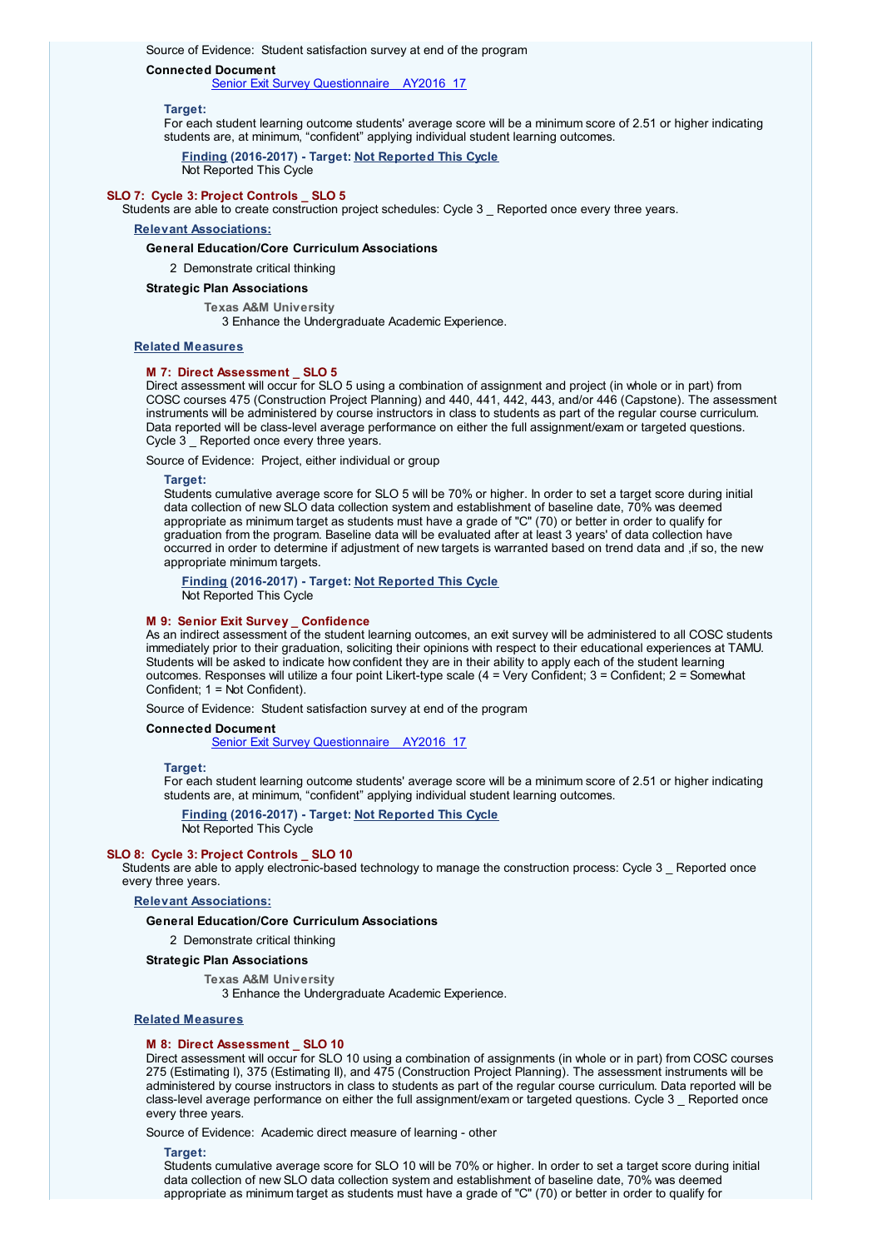### **Connected Document**

Senior Exit Survey [Questionnaire](javascript:__doPostBack() AY2016 17

### **Target:**

For each student learning outcome students' average score will be a minimum score of 2.51 or higher indicating students are, at minimum, "confident" applying individual student learning outcomes.

**Finding (2016-2017) - Target: Not Reported This Cycle** Not Reported This Cycle

### **SLO 7: Cycle 3: Project Controls \_ SLO 5**

Students are able to create construction project schedules: Cycle 3 Reported once every three years.

# **Relevant Associations:**

**General Education/Core Curriculum Associations**

2 Demonstrate critical thinking

# **Strategic Plan Associations**

**Texas A&M University**

3 Enhance the Undergraduate Academic Experience.

# **Related Measures**

# **M 7: Direct Assessment \_ SLO 5**

Direct assessment will occur for SLO 5 using a combination of assignment and project (in whole or in part) from COSC courses 475 (Construction Project Planning) and 440, 441, 442, 443, and/or 446 (Capstone). The assessment instruments will be administered by course instructors in class to students as part of the regular course curriculum. Data reported will be class-level average performance on either the full assignment/exam or targeted questions. Cycle 3 Reported once every three years.

Source of Evidence: Project, either individual or group

#### **Target:**

Students cumulative average score for SLO 5 will be 70% or higher. In order to set a target score during initial data collection of new SLO data collection system and establishment of baseline date, 70% was deemed appropriate as minimum target as students must have a grade of "C" (70) or better in order to qualify for graduation from the program. Baseline data will be evaluated after at least 3 years' of data collection have occurred in order to determine if adjustment of new targets is warranted based on trend data and ,if so, the new appropriate minimum targets.

**Finding (2016-2017) - Target: Not Reported This Cycle** Not Reported This Cycle

### **M 9: Senior Exit Survey \_ Confidence**

As an indirect assessment of the student learning outcomes, an exit survey will be administered to all COSC students immediately prior to their graduation, soliciting their opinions with respect to their educational experiences at TAMU. Students will be asked to indicate how confident they are in their ability to apply each of the student learning outcomes. Responses will utilize a four point Likert-type scale (4 = Very Confident; 3 = Confident; 2 = Somewhat Confident; 1 = Not Confident).

Source of Evidence: Student satisfaction survey at end of the program

# **Connected Document**

Senior Exit Survey [Questionnaire](javascript:__doPostBack() AY2016 17

#### **Target:**

For each student learning outcome students' average score will be a minimum score of 2.51 or higher indicating students are, at minimum, "confident" applying individual student learning outcomes.

**Finding (2016-2017) - Target: Not Reported This Cycle** Not Reported This Cycle

# **SLO 8: Cycle 3: Project Controls \_ SLO 10**

Students are able to apply electronic-based technology to manage the construction process: Cycle 3 Reported once every three years.

### **Relevant Associations:**

### **General Education/Core Curriculum Associations**

2 Demonstrate critical thinking

### **Strategic Plan Associations**

**Texas A&M University**

3 Enhance the Undergraduate Academic Experience.

### **Related Measures**

# **M 8: Direct Assessment \_ SLO 10**

Direct assessment will occur for SLO 10 using a combination of assignments (in whole or in part) from COSC courses 275 (Estimating I), 375 (Estimating II), and 475 (Construction Project Planning). The assessment instruments will be administered by course instructors in class to students as part of the regular course curriculum. Data reported will be class-level average performance on either the full assignment/exam or targeted questions. Cycle 3 \_ Reported once every three years.

Source of Evidence: Academic direct measure of learning - other

#### **Target:**

Students cumulative average score for SLO 10 will be 70% or higher. In order to set a target score during initial data collection of new SLO data collection system and establishment of baseline date, 70% was deemed appropriate as minimum target as students must have a grade of "C" (70) or better in order to qualify for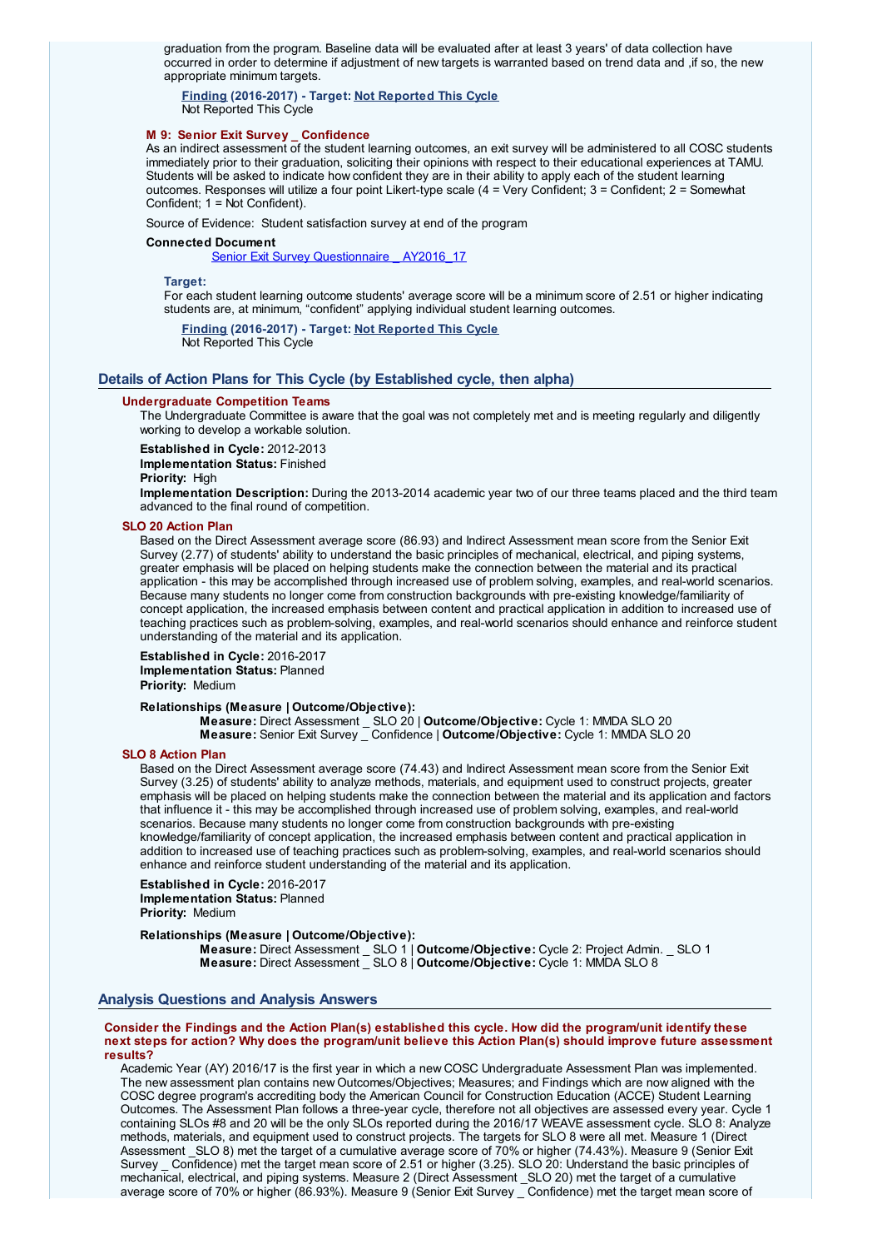graduation from the program. Baseline data will be evaluated after at least 3 years' of data collection have occurred in order to determine if adjustment of new targets is warranted based on trend data and ,if so, the new appropriate minimum targets.

**Finding (2016-2017) - Target: Not Reported This Cycle** Not Reported This Cycle

# **M 9: Senior Exit Survey \_ Confidence**

As an indirect assessment of the student learning outcomes, an exit survey will be administered to all COSC students immediately prior to their graduation, soliciting their opinions with respect to their educational experiences at TAMU. Students will be asked to indicate how confident they are in their ability to apply each of the student learning outcomes. Responses will utilize a four point Likert-type scale (4 = Very Confident; 3 = Confident; 2 = Somewhat Confident; 1 = Not Confident).

Source of Evidence: Student satisfaction survey at end of the program

### **Connected Document**

Senior Exit Survey [Questionnaire](javascript:__doPostBack() AY2016 17

### **Target:**

For each student learning outcome students' average score will be a minimum score of 2.51 or higher indicating students are, at minimum, "confident" applying individual student learning outcomes.

**Finding (2016-2017) - Target: Not Reported This Cycle** Not Reported This Cycle

# **Details of Action Plans for This Cycle (by Established cycle, then alpha)**

### **Undergraduate Competition Teams**

The Undergraduate Committee is aware that the goal was not completely met and is meeting regularly and diligently working to develop a workable solution.

**Established in Cycle:** 2012-2013

**Implementation Status:** Finished

**Priority:** High

**Implementation Description:** During the 2013-2014 academic year two of our three teams placed and the third team advanced to the final round of competition.

## **SLO 20 Action Plan**

Based on the Direct Assessment average score (86.93) and Indirect Assessment mean score from the Senior Exit Survey (2.77) of students' ability to understand the basic principles of mechanical, electrical, and piping systems, greater emphasis will be placed on helping students make the connection between the material and its practical application - this may be accomplished through increased use of problem solving, examples, and real-world scenarios. Because many students no longer come from construction backgrounds with pre-existing knowledge/familiarity of concept application, the increased emphasis between content and practical application in addition to increased use of teaching practices such as problem-solving, examples, and real-world scenarios should enhance and reinforce student understanding of the material and its application.

**Established in Cycle:** 2016-2017 **Implementation Status:** Planned **Priority:** Medium

### **Relationships (Measure | Outcome/Objective):**

**Measure:** Direct Assessment \_ SLO 20 | **Outcome/Objective:** Cycle 1: MMDA SLO 20 **Measure:** Senior Exit Survey \_ Confidence | **Outcome/Objective:** Cycle 1: MMDA SLO 20

# **SLO 8 Action Plan**

Based on the Direct Assessment average score (74.43) and Indirect Assessment mean score from the Senior Exit Survey (3.25) of students' ability to analyze methods, materials, and equipment used to construct projects, greater emphasis will be placed on helping students make the connection between the material and its application and factors that influence it - this may be accomplished through increased use of problem solving, examples, and real-world scenarios. Because many students no longer come from construction backgrounds with pre-existing knowledge/familiarity of concept application, the increased emphasis between content and practical application in addition to increased use of teaching practices such as problem-solving, examples, and real-world scenarios should enhance and reinforce student understanding of the material and its application.

### **Established in Cycle:** 2016-2017 **Implementation Status:** Planned **Priority:** Medium

# **Relationships (Measure | Outcome/Objective):**

**Measure:** Direct Assessment \_ SLO 1 | **Outcome/Objective:** Cycle 2: Project Admin. \_ SLO 1 **Measure:** Direct Assessment \_ SLO 8 | **Outcome/Objective:** Cycle 1: MMDA SLO 8

### **Analysis Questions and Analysis Answers**

### **Consider the Findings and the Action Plan(s) established this cycle. How did the program/unit identify these next steps for action? Why does the program/unit believe this Action Plan(s) should improve future assessment results?**

Academic Year (AY) 2016/17 is the first year in which a new COSC Undergraduate Assessment Plan was implemented. The new assessment plan contains newOutcomes/Objectives; Measures; and Findings which are now aligned with the COSC degree program's accrediting body the American Council for Construction Education (ACCE) Student Learning Outcomes. The Assessment Plan follows a three-year cycle, therefore not all objectives are assessed every year. Cycle 1 containing SLOs #8 and 20 will be the only SLOs reported during the 2016/17 WEAVE assessment cycle. SLO 8: Analyze methods, materials, and equipment used to construct projects. The targets for SLO 8 were all met. Measure 1 (Direct Assessment \_SLO 8) met the target of a cumulative average score of 70% or higher (74.43%). Measure 9 (Senior Exit Survey Confidence) met the target mean score of 2.51 or higher (3.25). SLO 20: Understand the basic principles of mechanical, electrical, and piping systems. Measure 2 (Direct Assessment \_SLO 20) met the target of a cumulative average score of 70% or higher (86.93%). Measure 9 (Senior Exit Survey \_ Confidence) met the target mean score of